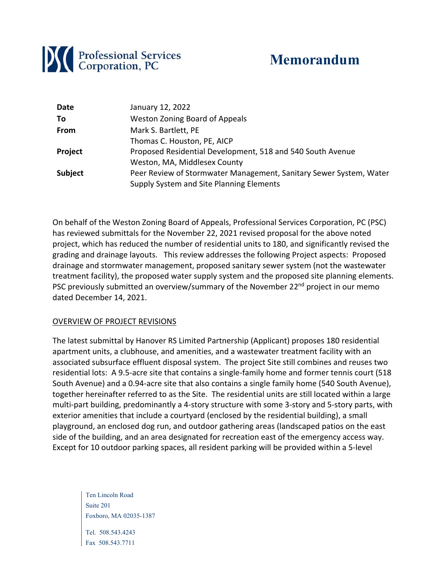

# **Memorandum**

| Date           | January 12, 2022                                                   |
|----------------|--------------------------------------------------------------------|
| To             | <b>Weston Zoning Board of Appeals</b>                              |
| From           | Mark S. Bartlett, PE                                               |
|                | Thomas C. Houston, PE, AICP                                        |
| Project        | Proposed Residential Development, 518 and 540 South Avenue         |
|                | Weston, MA, Middlesex County                                       |
| <b>Subject</b> | Peer Review of Stormwater Management, Sanitary Sewer System, Water |
|                | Supply System and Site Planning Elements                           |

On behalf of the Weston Zoning Board of Appeals, Professional Services Corporation, PC (PSC) has reviewed submittals for the November 22, 2021 revised proposal for the above noted project, which has reduced the number of residential units to 180, and significantly revised the grading and drainage layouts. This review addresses the following Project aspects: Proposed drainage and stormwater management, proposed sanitary sewer system (not the wastewater treatment facility), the proposed water supply system and the proposed site planning elements. PSC previously submitted an overview/summary of the November 22<sup>nd</sup> project in our memo dated December 14, 2021.

## OVERVIEW OF PROJECT REVISIONS

The latest submittal by Hanover RS Limited Partnership (Applicant) proposes 180 residential apartment units, a clubhouse, and amenities, and a wastewater treatment facility with an associated subsurface effluent disposal system. The project Site still combines and reuses two residential lots: A 9.5‐acre site that contains a single‐family home and former tennis court (518 South Avenue) and a 0.94‐acre site that also contains a single family home (540 South Avenue), together hereinafter referred to as the Site. The residential units are still located within a large multi-part building, predominantly a 4-story structure with some 3-story and 5-story parts, with exterior amenities that include a courtyard (enclosed by the residential building), a small playground, an enclosed dog run, and outdoor gathering areas (landscaped patios on the east side of the building, and an area designated for recreation east of the emergency access way. Except for 10 outdoor parking spaces, all resident parking will be provided within a 5‐level

Ten Lincoln Road Suite 201 Foxboro, MA 02035-1387 Tel. 508.543.4243 Fax 508.543.7711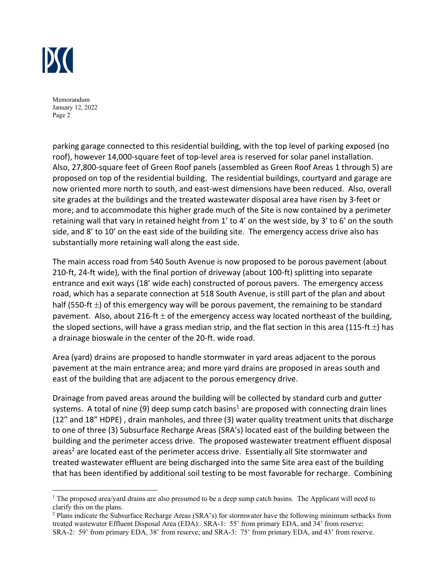

parking garage connected to this residential building, with the top level of parking exposed (no roof), however 14,000-square feet of top-level area is reserved for solar panel installation. Also, 27,800‐square feet of Green Roof panels (assembled as Green Roof Areas 1 through 5) are proposed on top of the residential building. The residential buildings, courtyard and garage are now oriented more north to south, and east-west dimensions have been reduced. Also, overall site grades at the buildings and the treated wastewater disposal area have risen by 3‐feet or more; and to accommodate this higher grade much of the Site is now contained by a perimeter retaining wall that vary in retained height from 1' to 4' on the west side, by 3' to 6' on the south side, and 8' to 10' on the east side of the building site. The emergency access drive also has substantially more retaining wall along the east side.

The main access road from 540 South Avenue is now proposed to be porous pavement (about 210‐ft, 24‐ft wide), with the final portion of driveway (about 100‐ft) splitting into separate entrance and exit ways (18' wide each) constructed of porous pavers. The emergency access road, which has a separate connection at 518 South Avenue, is still part of the plan and about half (550-ft  $\pm$ ) of this emergency way will be porous pavement, the remaining to be standard pavement. Also, about 216-ft  $\pm$  of the emergency access way located northeast of the building, the sloped sections, will have a grass median strip, and the flat section in this area (115-ft  $\pm$ ) has a drainage bioswale in the center of the 20‐ft. wide road.

Area (yard) drains are proposed to handle stormwater in yard areas adjacent to the porous pavement at the main entrance area; and more yard drains are proposed in areas south and east of the building that are adjacent to the porous emergency drive.

Drainage from paved areas around the building will be collected by standard curb and gutter systems. A total of nine (9) deep sump catch basins<sup>1</sup> are proposed with connecting drain lines (12" and 18" HDPE) , drain manholes, and three (3) water quality treatment units that discharge to one of three (3) Subsurface Recharge Areas (SRA's) located east of the building between the building and the perimeter access drive. The proposed wastewater treatment effluent disposal areas<sup>2</sup> are located east of the perimeter access drive. Essentially all Site stormwater and treated wastewater effluent are being discharged into the same Site area east of the building that has been identified by additional soil testing to be most favorable for recharge. Combining

<sup>&</sup>lt;sup>1</sup> The proposed area/yard drains are also presumed to be a deep sump catch basins. The Applicant will need to clarify this on the plans.

<sup>&</sup>lt;sup>2</sup> Plans indicate the Subsurface Recharge Areas (SRA's) for stormwater have the following minimum setbacks from treated wastewater Effluent Disposal Area (EDA): SRA-1: 55' from primary EDA, and 34' from reserve; SRA-2: 59' from primary EDA, 38' from reserve; and SRA-3: 75' from primary EDA, and 43' from reserve.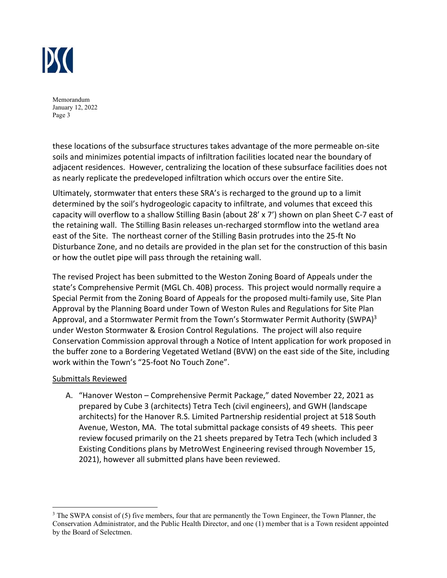

these locations of the subsurface structures takes advantage of the more permeable on‐site soils and minimizes potential impacts of infiltration facilities located near the boundary of adjacent residences. However, centralizing the location of these subsurface facilities does not as nearly replicate the predeveloped infiltration which occurs over the entire Site.

Ultimately, stormwater that enters these SRA's is recharged to the ground up to a limit determined by the soil's hydrogeologic capacity to infiltrate, and volumes that exceed this capacity will overflow to a shallow Stilling Basin (about 28' x 7') shown on plan Sheet C‐7 east of the retaining wall. The Stilling Basin releases un‐recharged stormflow into the wetland area east of the Site. The northeast corner of the Stilling Basin protrudes into the 25‐ft No Disturbance Zone, and no details are provided in the plan set for the construction of this basin or how the outlet pipe will pass through the retaining wall.

The revised Project has been submitted to the Weston Zoning Board of Appeals under the state's Comprehensive Permit (MGL Ch. 40B) process. This project would normally require a Special Permit from the Zoning Board of Appeals for the proposed multi‐family use, Site Plan Approval by the Planning Board under Town of Weston Rules and Regulations for Site Plan Approval, and a Stormwater Permit from the Town's Stormwater Permit Authority (SWPA) $3$ under Weston Stormwater & Erosion Control Regulations. The project will also require Conservation Commission approval through a Notice of Intent application for work proposed in the buffer zone to a Bordering Vegetated Wetland (BVW) on the east side of the Site, including work within the Town's "25‐foot No Touch Zone".

## Submittals Reviewed

A. "Hanover Weston – Comprehensive Permit Package," dated November 22, 2021 as prepared by Cube 3 (architects) Tetra Tech (civil engineers), and GWH (landscape architects) for the Hanover R.S. Limited Partnership residential project at 518 South Avenue, Weston, MA. The total submittal package consists of 49 sheets. This peer review focused primarily on the 21 sheets prepared by Tetra Tech (which included 3 Existing Conditions plans by MetroWest Engineering revised through November 15, 2021), however all submitted plans have been reviewed.

<sup>&</sup>lt;sup>3</sup> The SWPA consist of (5) five members, four that are permanently the Town Engineer, the Town Planner, the Conservation Administrator, and the Public Health Director, and one (1) member that is a Town resident appointed by the Board of Selectmen.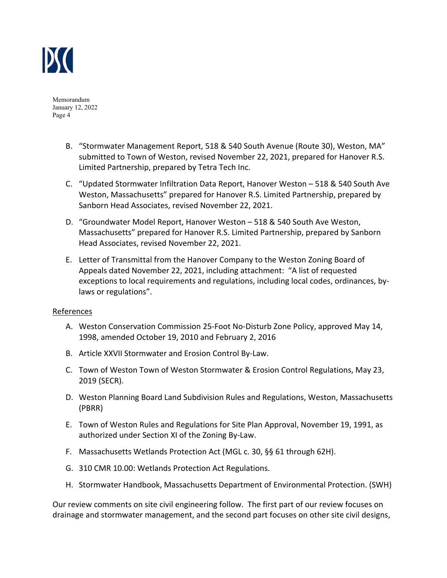

- B. "Stormwater Management Report, 518 & 540 South Avenue (Route 30), Weston, MA" submitted to Town of Weston, revised November 22, 2021, prepared for Hanover R.S. Limited Partnership, prepared by Tetra Tech Inc.
- C. "Updated Stormwater Infiltration Data Report, Hanover Weston 518 & 540 South Ave Weston, Massachusetts" prepared for Hanover R.S. Limited Partnership, prepared by Sanborn Head Associates, revised November 22, 2021.
- D. "Groundwater Model Report, Hanover Weston 518 & 540 South Ave Weston, Massachusetts" prepared for Hanover R.S. Limited Partnership, prepared by Sanborn Head Associates, revised November 22, 2021.
- E. Letter of Transmittal from the Hanover Company to the Weston Zoning Board of Appeals dated November 22, 2021, including attachment: "A list of requested exceptions to local requirements and regulations, including local codes, ordinances, by‐ laws or regulations".

## References

- A. Weston Conservation Commission 25‐Foot No‐Disturb Zone Policy, approved May 14, 1998, amended October 19, 2010 and February 2, 2016
- B. Article XXVII Stormwater and Erosion Control By‐Law.
- C. Town of Weston Town of Weston Stormwater & Erosion Control Regulations, May 23, 2019 (SECR).
- D. Weston Planning Board Land Subdivision Rules and Regulations, Weston, Massachusetts (PBRR)
- E. Town of Weston Rules and Regulations for Site Plan Approval, November 19, 1991, as authorized under Section XI of the Zoning By‐Law.
- F. Massachusetts Wetlands Protection Act (MGL c. 30, §§ 61 through 62H).
- G. 310 CMR 10.00: Wetlands Protection Act Regulations.
- H. Stormwater Handbook, Massachusetts Department of Environmental Protection. (SWH)

Our review comments on site civil engineering follow. The first part of our review focuses on drainage and stormwater management, and the second part focuses on other site civil designs,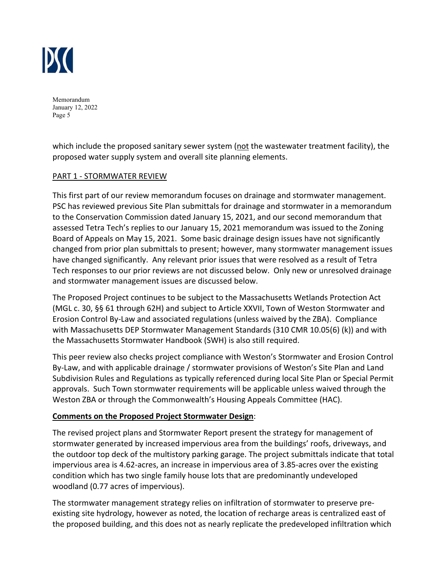

which include the proposed sanitary sewer system (not the wastewater treatment facility), the proposed water supply system and overall site planning elements.

## PART 1 ‐ STORMWATER REVIEW

This first part of our review memorandum focuses on drainage and stormwater management. PSC has reviewed previous Site Plan submittals for drainage and stormwater in a memorandum to the Conservation Commission dated January 15, 2021, and our second memorandum that assessed Tetra Tech's replies to our January 15, 2021 memorandum was issued to the Zoning Board of Appeals on May 15, 2021. Some basic drainage design issues have not significantly changed from prior plan submittals to present; however, many stormwater management issues have changed significantly. Any relevant prior issues that were resolved as a result of Tetra Tech responses to our prior reviews are not discussed below. Only new or unresolved drainage and stormwater management issues are discussed below.

The Proposed Project continues to be subject to the Massachusetts Wetlands Protection Act (MGL c. 30, §§ 61 through 62H) and subject to Article XXVII, Town of Weston Stormwater and Erosion Control By‐Law and associated regulations (unless waived by the ZBA). Compliance with Massachusetts DEP Stormwater Management Standards (310 CMR 10.05(6) (k)) and with the Massachusetts Stormwater Handbook (SWH) is also still required.

This peer review also checks project compliance with Weston's Stormwater and Erosion Control By‐Law, and with applicable drainage / stormwater provisions of Weston's Site Plan and Land Subdivision Rules and Regulations as typically referenced during local Site Plan or Special Permit approvals. Such Town stormwater requirements will be applicable unless waived through the Weston ZBA or through the Commonwealth's Housing Appeals Committee (HAC).

## **Comments on the Proposed Project Stormwater Design**:

The revised project plans and Stormwater Report present the strategy for management of stormwater generated by increased impervious area from the buildings' roofs, driveways, and the outdoor top deck of the multistory parking garage. The project submittals indicate that total impervious area is 4.62‐acres, an increase in impervious area of 3.85‐acres over the existing condition which has two single family house lots that are predominantly undeveloped woodland (0.77 acres of impervious).

The stormwater management strategy relies on infiltration of stormwater to preserve pre‐ existing site hydrology, however as noted, the location of recharge areas is centralized east of the proposed building, and this does not as nearly replicate the predeveloped infiltration which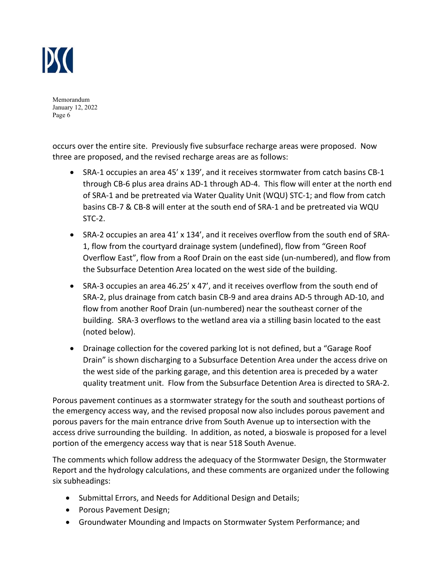

occurs over the entire site. Previously five subsurface recharge areas were proposed. Now three are proposed, and the revised recharge areas are as follows:

- SRA-1 occupies an area 45' x 139', and it receives stormwater from catch basins CB-1 through CB‐6 plus area drains AD‐1 through AD‐4. This flow will enter at the north end of SRA‐1 and be pretreated via Water Quality Unit (WQU) STC‐1; and flow from catch basins CB‐7 & CB‐8 will enter at the south end of SRA‐1 and be pretreated via WQU  $STC-2$ .
- SRA-2 occupies an area 41' x 134', and it receives overflow from the south end of SRA-1, flow from the courtyard drainage system (undefined), flow from "Green Roof Overflow East", flow from a Roof Drain on the east side (un‐numbered), and flow from the Subsurface Detention Area located on the west side of the building.
- SRA‐3 occupies an area 46.25' x 47', and it receives overflow from the south end of SRA‐2, plus drainage from catch basin CB‐9 and area drains AD‐5 through AD‐10, and flow from another Roof Drain (un‐numbered) near the southeast corner of the building. SRA‐3 overflows to the wetland area via a stilling basin located to the east (noted below).
- Drainage collection for the covered parking lot is not defined, but a "Garage Roof Drain" is shown discharging to a Subsurface Detention Area under the access drive on the west side of the parking garage, and this detention area is preceded by a water quality treatment unit. Flow from the Subsurface Detention Area is directed to SRA‐2.

Porous pavement continues as a stormwater strategy for the south and southeast portions of the emergency access way, and the revised proposal now also includes porous pavement and porous pavers for the main entrance drive from South Avenue up to intersection with the access drive surrounding the building. In addition, as noted, a bioswale is proposed for a level portion of the emergency access way that is near 518 South Avenue.

The comments which follow address the adequacy of the Stormwater Design, the Stormwater Report and the hydrology calculations, and these comments are organized under the following six subheadings:

- Submittal Errors, and Needs for Additional Design and Details;
- Porous Pavement Design;
- Groundwater Mounding and Impacts on Stormwater System Performance; and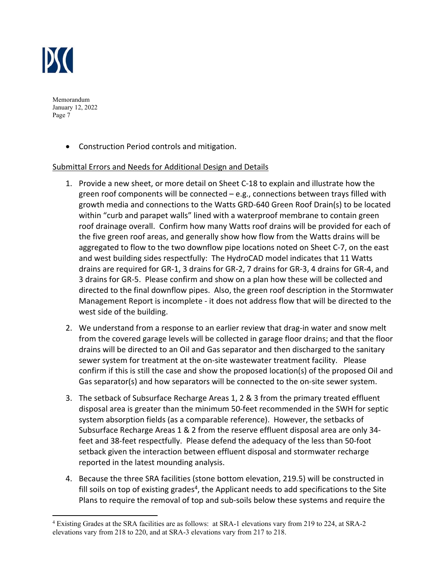

Construction Period controls and mitigation.

# Submittal Errors and Needs for Additional Design and Details

- 1. Provide a new sheet, or more detail on Sheet C‐18 to explain and illustrate how the green roof components will be connected – e.g., connections between trays filled with growth media and connections to the Watts GRD‐640 Green Roof Drain(s) to be located within "curb and parapet walls" lined with a waterproof membrane to contain green roof drainage overall. Confirm how many Watts roof drains will be provided for each of the five green roof areas, and generally show how flow from the Watts drains will be aggregated to flow to the two downflow pipe locations noted on Sheet C‐7, on the east and west building sides respectfully: The HydroCAD model indicates that 11 Watts drains are required for GR‐1, 3 drains for GR‐2, 7 drains for GR‐3, 4 drains for GR‐4, and 3 drains for GR‐5. Please confirm and show on a plan how these will be collected and directed to the final downflow pipes. Also, the green roof description in the Stormwater Management Report is incomplete ‐ it does not address flow that will be directed to the west side of the building.
- 2. We understand from a response to an earlier review that drag-in water and snow melt from the covered garage levels will be collected in garage floor drains; and that the floor drains will be directed to an Oil and Gas separator and then discharged to the sanitary sewer system for treatment at the on-site wastewater treatment facility. Please confirm if this is still the case and show the proposed location(s) of the proposed Oil and Gas separator(s) and how separators will be connected to the on‐site sewer system.
- 3. The setback of Subsurface Recharge Areas 1, 2 & 3 from the primary treated effluent disposal area is greater than the minimum 50‐feet recommended in the SWH for septic system absorption fields (as a comparable reference). However, the setbacks of Subsurface Recharge Areas 1 & 2 from the reserve effluent disposal area are only 34‐ feet and 38‐feet respectfully. Please defend the adequacy of the less than 50‐foot setback given the interaction between effluent disposal and stormwater recharge reported in the latest mounding analysis.
- 4. Because the three SRA facilities (stone bottom elevation, 219.5) will be constructed in fill soils on top of existing grades<sup>4</sup>, the Applicant needs to add specifications to the Site Plans to require the removal of top and sub‐soils below these systems and require the

<sup>4</sup> Existing Grades at the SRA facilities are as follows: at SRA-1 elevations vary from 219 to 224, at SRA-2 elevations vary from 218 to 220, and at SRA-3 elevations vary from 217 to 218.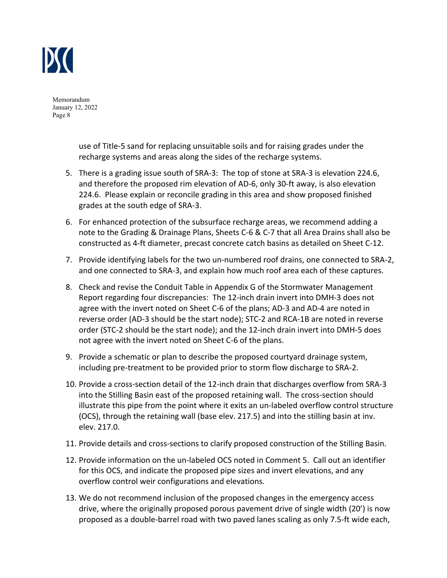

> use of Title‐5 sand for replacing unsuitable soils and for raising grades under the recharge systems and areas along the sides of the recharge systems.

- 5. There is a grading issue south of SRA-3: The top of stone at SRA-3 is elevation 224.6, and therefore the proposed rim elevation of AD‐6, only 30‐ft away, is also elevation 224.6. Please explain or reconcile grading in this area and show proposed finished grades at the south edge of SRA‐3.
- 6. For enhanced protection of the subsurface recharge areas, we recommend adding a note to the Grading & Drainage Plans, Sheets C‐6 & C‐7 that all Area Drains shall also be constructed as 4‐ft diameter, precast concrete catch basins as detailed on Sheet C‐12.
- 7. Provide identifying labels for the two un‐numbered roof drains, one connected to SRA‐2, and one connected to SRA‐3, and explain how much roof area each of these captures.
- 8. Check and revise the Conduit Table in Appendix G of the Stormwater Management Report regarding four discrepancies: The 12‐inch drain invert into DMH‐3 does not agree with the invert noted on Sheet C‐6 of the plans; AD‐3 and AD‐4 are noted in reverse order (AD‐3 should be the start node); STC‐2 and RCA‐1B are noted in reverse order (STC‐2 should be the start node); and the 12‐inch drain invert into DMH‐5 does not agree with the invert noted on Sheet C‐6 of the plans.
- 9. Provide a schematic or plan to describe the proposed courtyard drainage system, including pre‐treatment to be provided prior to storm flow discharge to SRA‐2.
- 10. Provide a cross‐section detail of the 12‐inch drain that discharges overflow from SRA‐3 into the Stilling Basin east of the proposed retaining wall. The cross‐section should illustrate this pipe from the point where it exits an un‐labeled overflow control structure (OCS), through the retaining wall (base elev. 217.5) and into the stilling basin at inv. elev. 217.0.
- 11. Provide details and cross-sections to clarify proposed construction of the Stilling Basin.
- 12. Provide information on the un‐labeled OCS noted in Comment 5. Call out an identifier for this OCS, and indicate the proposed pipe sizes and invert elevations, and any overflow control weir configurations and elevations.
- 13. We do not recommend inclusion of the proposed changes in the emergency access drive, where the originally proposed porous pavement drive of single width (20') is now proposed as a double‐barrel road with two paved lanes scaling as only 7.5‐ft wide each,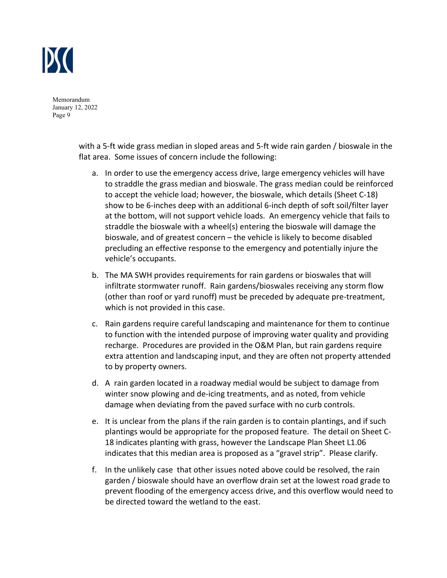

> with a 5‐ft wide grass median in sloped areas and 5‐ft wide rain garden / bioswale in the flat area. Some issues of concern include the following:

- a. In order to use the emergency access drive, large emergency vehicles will have to straddle the grass median and bioswale. The grass median could be reinforced to accept the vehicle load; however, the bioswale, which details (Sheet C‐18) show to be 6‐inches deep with an additional 6‐inch depth of soft soil/filter layer at the bottom, will not support vehicle loads. An emergency vehicle that fails to straddle the bioswale with a wheel(s) entering the bioswale will damage the bioswale, and of greatest concern – the vehicle is likely to become disabled precluding an effective response to the emergency and potentially injure the vehicle's occupants.
- b. The MA SWH provides requirements for rain gardens or bioswales that will infiltrate stormwater runoff. Rain gardens/bioswales receiving any storm flow (other than roof or yard runoff) must be preceded by adequate pre‐treatment, which is not provided in this case.
- c. Rain gardens require careful landscaping and maintenance for them to continue to function with the intended purpose of improving water quality and providing recharge. Procedures are provided in the O&M Plan, but rain gardens require extra attention and landscaping input, and they are often not property attended to by property owners.
- d. A rain garden located in a roadway medial would be subject to damage from winter snow plowing and de-icing treatments, and as noted, from vehicle damage when deviating from the paved surface with no curb controls.
- e. It is unclear from the plans if the rain garden is to contain plantings, and if such plantings would be appropriate for the proposed feature. The detail on Sheet C‐ 18 indicates planting with grass, however the Landscape Plan Sheet L1.06 indicates that this median area is proposed as a "gravel strip". Please clarify.
- f. In the unlikely case that other issues noted above could be resolved, the rain garden / bioswale should have an overflow drain set at the lowest road grade to prevent flooding of the emergency access drive, and this overflow would need to be directed toward the wetland to the east.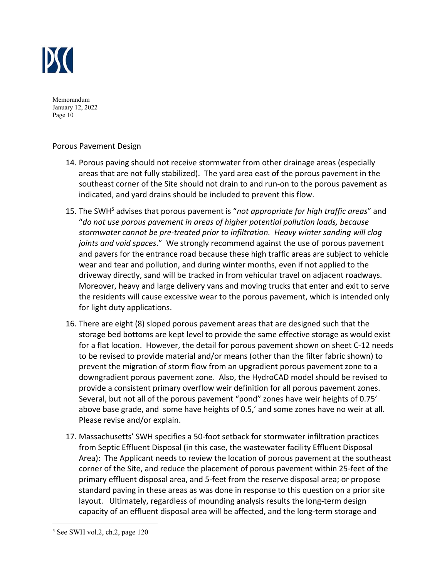

## Porous Pavement Design

- 14. Porous paving should not receive stormwater from other drainage areas (especially areas that are not fully stabilized). The yard area east of the porous pavement in the southeast corner of the Site should not drain to and run-on to the porous pavement as indicated, and yard drains should be included to prevent this flow.
- 15. The SWH<sup>5</sup> advises that porous pavement is "not appropriate for high traffic areas" and "*do not use porous pavement in areas of higher potential pollution loads, because stormwater cannot be pre‐treated prior to infiltration. Heavy winter sanding will clog joints and void spaces*." We strongly recommend against the use of porous pavement and pavers for the entrance road because these high traffic areas are subject to vehicle wear and tear and pollution, and during winter months, even if not applied to the driveway directly, sand will be tracked in from vehicular travel on adjacent roadways. Moreover, heavy and large delivery vans and moving trucks that enter and exit to serve the residents will cause excessive wear to the porous pavement, which is intended only for light duty applications.
- 16. There are eight (8) sloped porous pavement areas that are designed such that the storage bed bottoms are kept level to provide the same effective storage as would exist for a flat location. However, the detail for porous pavement shown on sheet C‐12 needs to be revised to provide material and/or means (other than the filter fabric shown) to prevent the migration of storm flow from an upgradient porous pavement zone to a downgradient porous pavement zone. Also, the HydroCAD model should be revised to provide a consistent primary overflow weir definition for all porous pavement zones. Several, but not all of the porous pavement "pond" zones have weir heights of 0.75' above base grade, and some have heights of 0.5,' and some zones have no weir at all. Please revise and/or explain.
- 17. Massachusetts' SWH specifies a 50‐foot setback for stormwater infiltration practices from Septic Effluent Disposal (in this case, the wastewater facility Effluent Disposal Area): The Applicant needs to review the location of porous pavement at the southeast corner of the Site, and reduce the placement of porous pavement within 25‐feet of the primary effluent disposal area, and 5‐feet from the reserve disposal area; or propose standard paving in these areas as was done in response to this question on a prior site layout. Ultimately, regardless of mounding analysis results the long-term design capacity of an effluent disposal area will be affected, and the long-term storage and

<sup>5</sup> See SWH vol.2, ch.2, page 120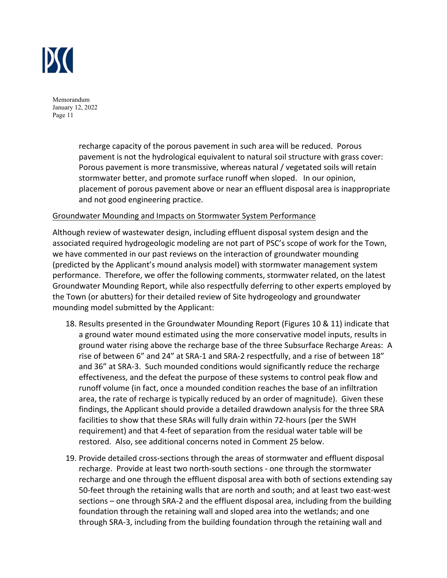

> recharge capacity of the porous pavement in such area will be reduced. Porous pavement is not the hydrological equivalent to natural soil structure with grass cover: Porous pavement is more transmissive, whereas natural / vegetated soils will retain stormwater better, and promote surface runoff when sloped. In our opinion, placement of porous pavement above or near an effluent disposal area is inappropriate and not good engineering practice.

## Groundwater Mounding and Impacts on Stormwater System Performance

Although review of wastewater design, including effluent disposal system design and the associated required hydrogeologic modeling are not part of PSC's scope of work for the Town, we have commented in our past reviews on the interaction of groundwater mounding (predicted by the Applicant's mound analysis model) with stormwater management system performance. Therefore, we offer the following comments, stormwater related, on the latest Groundwater Mounding Report, while also respectfully deferring to other experts employed by the Town (or abutters) for their detailed review of Site hydrogeology and groundwater mounding model submitted by the Applicant:

- 18. Results presented in the Groundwater Mounding Report (Figures 10 & 11) indicate that a ground water mound estimated using the more conservative model inputs, results in ground water rising above the recharge base of the three Subsurface Recharge Areas: A rise of between 6" and 24" at SRA‐1 and SRA‐2 respectfully, and a rise of between 18" and 36" at SRA‐3. Such mounded conditions would significantly reduce the recharge effectiveness, and the defeat the purpose of these systems to control peak flow and runoff volume (in fact, once a mounded condition reaches the base of an infiltration area, the rate of recharge is typically reduced by an order of magnitude). Given these findings, the Applicant should provide a detailed drawdown analysis for the three SRA facilities to show that these SRAs will fully drain within 72‐hours (per the SWH requirement) and that 4‐feet of separation from the residual water table will be restored. Also, see additional concerns noted in Comment 25 below.
- 19. Provide detailed cross-sections through the areas of stormwater and effluent disposal recharge. Provide at least two north‐south sections ‐ one through the stormwater recharge and one through the effluent disposal area with both of sections extending say 50-feet through the retaining walls that are north and south; and at least two east-west sections – one through SRA-2 and the effluent disposal area, including from the building foundation through the retaining wall and sloped area into the wetlands; and one through SRA‐3, including from the building foundation through the retaining wall and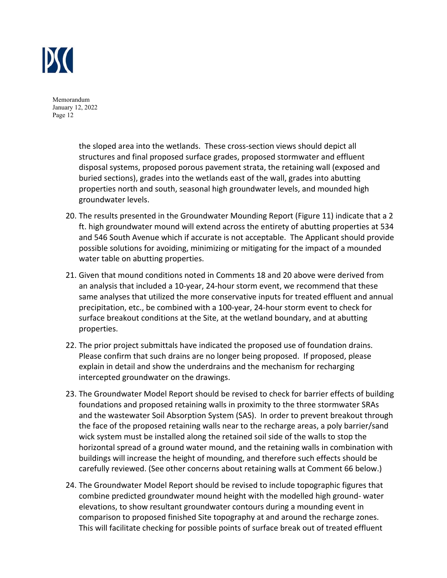

> the sloped area into the wetlands. These cross‐section views should depict all structures and final proposed surface grades, proposed stormwater and effluent disposal systems, proposed porous pavement strata, the retaining wall (exposed and buried sections), grades into the wetlands east of the wall, grades into abutting properties north and south, seasonal high groundwater levels, and mounded high groundwater levels.

- 20. The results presented in the Groundwater Mounding Report (Figure 11) indicate that a 2 ft. high groundwater mound will extend across the entirety of abutting properties at 534 and 546 South Avenue which if accurate is not acceptable. The Applicant should provide possible solutions for avoiding, minimizing or mitigating for the impact of a mounded water table on abutting properties.
- 21. Given that mound conditions noted in Comments 18 and 20 above were derived from an analysis that included a 10‐year, 24‐hour storm event, we recommend that these same analyses that utilized the more conservative inputs for treated effluent and annual precipitation, etc., be combined with a 100‐year, 24‐hour storm event to check for surface breakout conditions at the Site, at the wetland boundary, and at abutting properties.
- 22. The prior project submittals have indicated the proposed use of foundation drains. Please confirm that such drains are no longer being proposed. If proposed, please explain in detail and show the underdrains and the mechanism for recharging intercepted groundwater on the drawings.
- 23. The Groundwater Model Report should be revised to check for barrier effects of building foundations and proposed retaining walls in proximity to the three stormwater SRAs and the wastewater Soil Absorption System (SAS). In order to prevent breakout through the face of the proposed retaining walls near to the recharge areas, a poly barrier/sand wick system must be installed along the retained soil side of the walls to stop the horizontal spread of a ground water mound, and the retaining walls in combination with buildings will increase the height of mounding, and therefore such effects should be carefully reviewed. (See other concerns about retaining walls at Comment 66 below.)
- 24. The Groundwater Model Report should be revised to include topographic figures that combine predicted groundwater mound height with the modelled high ground‐ water elevations, to show resultant groundwater contours during a mounding event in comparison to proposed finished Site topography at and around the recharge zones. This will facilitate checking for possible points of surface break out of treated effluent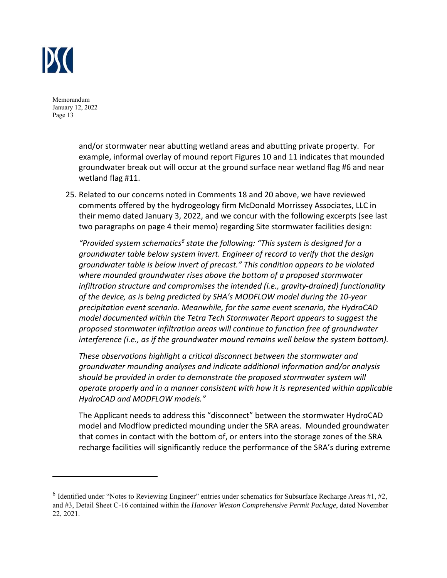

> and/or stormwater near abutting wetland areas and abutting private property. For example, informal overlay of mound report Figures 10 and 11 indicates that mounded groundwater break out will occur at the ground surface near wetland flag #6 and near wetland flag #11.

25. Related to our concerns noted in Comments 18 and 20 above, we have reviewed comments offered by the hydrogeology firm McDonald Morrissey Associates, LLC in their memo dated January 3, 2022, and we concur with the following excerpts (see last two paragraphs on page 4 their memo) regarding Site stormwater facilities design:

"Provided system schematics<sup>6</sup> state the following: "This system is designed for a *groundwater table below system invert. Engineer of record to verify that the design groundwater table is below invert of precast." This condition appears to be violated where mounded groundwater rises above the bottom of a proposed stormwater infiltration structure and compromises the intended (i.e., gravity‐drained) functionality of the device, as is being predicted by SHA's MODFLOW model during the 10‐year precipitation event scenario. Meanwhile, for the same event scenario, the HydroCAD model documented within the Tetra Tech Stormwater Report appears to suggest the proposed stormwater infiltration areas will continue to function free of groundwater*  interference (i.e., as if the groundwater mound remains well below the system bottom).

*These observations highlight a critical disconnect between the stormwater and groundwater mounding analyses and indicate additional information and/or analysis should be provided in order to demonstrate the proposed stormwater system will operate properly and in a manner consistent with how it is represented within applicable HydroCAD and MODFLOW models."* 

The Applicant needs to address this "disconnect" between the stormwater HydroCAD model and Modflow predicted mounding under the SRA areas. Mounded groundwater that comes in contact with the bottom of, or enters into the storage zones of the SRA recharge facilities will significantly reduce the performance of the SRA's during extreme

 $6$  Identified under "Notes to Reviewing Engineer" entries under schematics for Subsurface Recharge Areas #1, #2, and #3, Detail Sheet C-16 contained within the *Hanover Weston Comprehensive Permit Package*, dated November 22, 2021.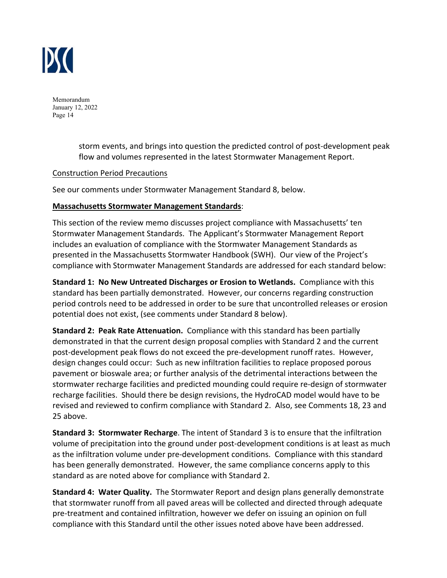

> storm events, and brings into question the predicted control of post‐development peak flow and volumes represented in the latest Stormwater Management Report.

#### Construction Period Precautions

See our comments under Stormwater Management Standard 8, below.

## **Massachusetts Stormwater Management Standards**:

This section of the review memo discusses project compliance with Massachusetts' ten Stormwater Management Standards. The Applicant's Stormwater Management Report includes an evaluation of compliance with the Stormwater Management Standards as presented in the Massachusetts Stormwater Handbook (SWH). Our view of the Project's compliance with Stormwater Management Standards are addressed for each standard below:

**Standard 1: No New Untreated Discharges or Erosion to Wetlands.** Compliance with this standard has been partially demonstrated. However, our concerns regarding construction period controls need to be addressed in order to be sure that uncontrolled releases or erosion potential does not exist, (see comments under Standard 8 below).

**Standard 2: Peak Rate Attenuation.** Compliance with this standard has been partially demonstrated in that the current design proposal complies with Standard 2 and the current post-development peak flows do not exceed the pre-development runoff rates. However, design changes could occur: Such as new infiltration facilities to replace proposed porous pavement or bioswale area; or further analysis of the detrimental interactions between the stormwater recharge facilities and predicted mounding could require re‐design of stormwater recharge facilities. Should there be design revisions, the HydroCAD model would have to be revised and reviewed to confirm compliance with Standard 2. Also, see Comments 18, 23 and 25 above.

**Standard 3: Stormwater Recharge**. The intent of Standard 3 is to ensure that the infiltration volume of precipitation into the ground under post-development conditions is at least as much as the infiltration volume under pre‐development conditions. Compliance with this standard has been generally demonstrated. However, the same compliance concerns apply to this standard as are noted above for compliance with Standard 2.

**Standard 4: Water Quality.** The Stormwater Report and design plans generally demonstrate that stormwater runoff from all paved areas will be collected and directed through adequate pre-treatment and contained infiltration, however we defer on issuing an opinion on full compliance with this Standard until the other issues noted above have been addressed.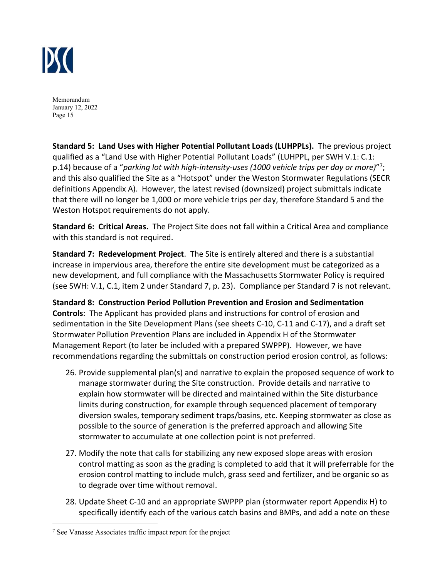

**Standard 5: Land Uses with Higher Potential Pollutant Loads (LUHPPLs).** The previous project qualified as a "Land Use with Higher Potential Pollutant Loads" (LUHPPL, per SWH V.1: C.1: p.14) because of a "*parking lot with high‐intensity‐uses (1000 vehicle trips per day or more)*"7; and this also qualified the Site as a "Hotspot" under the Weston Stormwater Regulations (SECR definitions Appendix A). However, the latest revised (downsized) project submittals indicate that there will no longer be 1,000 or more vehicle trips per day, therefore Standard 5 and the Weston Hotspot requirements do not apply.

**Standard 6: Critical Areas.** The Project Site does not fall within a Critical Area and compliance with this standard is not required.

**Standard 7: Redevelopment Project**. The Site is entirely altered and there is a substantial increase in impervious area, therefore the entire site development must be categorized as a new development, and full compliance with the Massachusetts Stormwater Policy is required (see SWH: V.1, C.1, item 2 under Standard 7, p. 23). Compliance per Standard 7 is not relevant.

**Standard 8: Construction Period Pollution Prevention and Erosion and Sedimentation Controls**: The Applicant has provided plans and instructions for control of erosion and sedimentation in the Site Development Plans (see sheets C‐10, C‐11 and C‐17), and a draft set Stormwater Pollution Prevention Plans are included in Appendix H of the Stormwater Management Report (to later be included with a prepared SWPPP). However, we have recommendations regarding the submittals on construction period erosion control, as follows:

- 26. Provide supplemental plan(s) and narrative to explain the proposed sequence of work to manage stormwater during the Site construction. Provide details and narrative to explain how stormwater will be directed and maintained within the Site disturbance limits during construction, for example through sequenced placement of temporary diversion swales, temporary sediment traps/basins, etc. Keeping stormwater as close as possible to the source of generation is the preferred approach and allowing Site stormwater to accumulate at one collection point is not preferred.
- 27. Modify the note that calls for stabilizing any new exposed slope areas with erosion control matting as soon as the grading is completed to add that it will preferrable for the erosion control matting to include mulch, grass seed and fertilizer, and be organic so as to degrade over time without removal.
- 28. Update Sheet C‐10 and an appropriate SWPPP plan (stormwater report Appendix H) to specifically identify each of the various catch basins and BMPs, and add a note on these

<sup>&</sup>lt;sup>7</sup> See Vanasse Associates traffic impact report for the project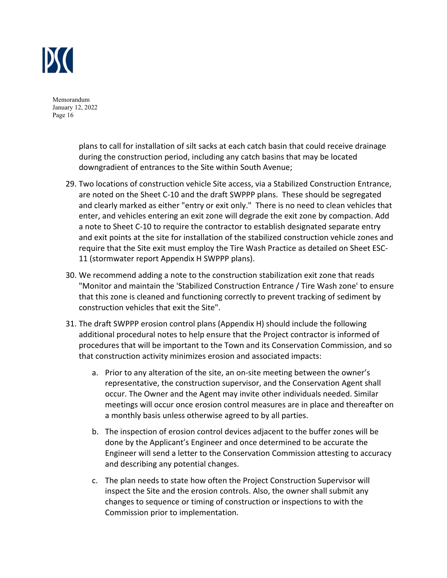

> plans to call for installation of silt sacks at each catch basin that could receive drainage during the construction period, including any catch basins that may be located downgradient of entrances to the Site within South Avenue;

- 29. Two locations of construction vehicle Site access, via a Stabilized Construction Entrance, are noted on the Sheet C‐10 and the draft SWPPP plans. These should be segregated and clearly marked as either "entry or exit only." There is no need to clean vehicles that enter, and vehicles entering an exit zone will degrade the exit zone by compaction. Add a note to Sheet C‐10 to require the contractor to establish designated separate entry and exit points at the site for installation of the stabilized construction vehicle zones and require that the Site exit must employ the Tire Wash Practice as detailed on Sheet ESC‐ 11 (stormwater report Appendix H SWPPP plans).
- 30. We recommend adding a note to the construction stabilization exit zone that reads "Monitor and maintain the 'Stabilized Construction Entrance / Tire Wash zone' to ensure that this zone is cleaned and functioning correctly to prevent tracking of sediment by construction vehicles that exit the Site".
- 31. The draft SWPPP erosion control plans (Appendix H) should include the following additional procedural notes to help ensure that the Project contractor is informed of procedures that will be important to the Town and its Conservation Commission, and so that construction activity minimizes erosion and associated impacts:
	- a. Prior to any alteration of the site, an on-site meeting between the owner's representative, the construction supervisor, and the Conservation Agent shall occur. The Owner and the Agent may invite other individuals needed. Similar meetings will occur once erosion control measures are in place and thereafter on a monthly basis unless otherwise agreed to by all parties.
	- b. The inspection of erosion control devices adjacent to the buffer zones will be done by the Applicant's Engineer and once determined to be accurate the Engineer will send a letter to the Conservation Commission attesting to accuracy and describing any potential changes.
	- c. The plan needs to state how often the Project Construction Supervisor will inspect the Site and the erosion controls. Also, the owner shall submit any changes to sequence or timing of construction or inspections to with the Commission prior to implementation.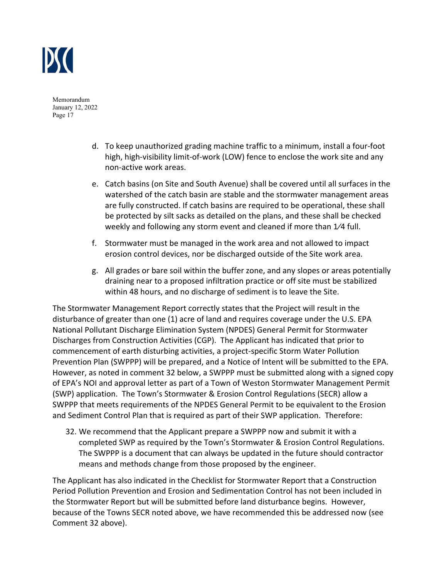

- d. To keep unauthorized grading machine traffic to a minimum, install a four‐foot high, high‐visibility limit‐of‐work (LOW) fence to enclose the work site and any non‐active work areas.
- e. Catch basins (on Site and South Avenue) shall be covered until all surfaces in the watershed of the catch basin are stable and the stormwater management areas are fully constructed. If catch basins are required to be operational, these shall be protected by silt sacks as detailed on the plans, and these shall be checked weekly and following any storm event and cleaned if more than 1⁄4 full.
- f. Stormwater must be managed in the work area and not allowed to impact erosion control devices, nor be discharged outside of the Site work area.
- g. All grades or bare soil within the buffer zone, and any slopes or areas potentially draining near to a proposed infiltration practice or off site must be stabilized within 48 hours, and no discharge of sediment is to leave the Site.

The Stormwater Management Report correctly states that the Project will result in the disturbance of greater than one (1) acre of land and requires coverage under the U.S. EPA National Pollutant Discharge Elimination System (NPDES) General Permit for Stormwater Discharges from Construction Activities (CGP). The Applicant has indicated that prior to commencement of earth disturbing activities, a project‐specific Storm Water Pollution Prevention Plan (SWPPP) will be prepared, and a Notice of Intent will be submitted to the EPA. However, as noted in comment 32 below, a SWPPP must be submitted along with a signed copy of EPA's NOI and approval letter as part of a Town of Weston Stormwater Management Permit (SWP) application. The Town's Stormwater & Erosion Control Regulations (SECR) allow a SWPPP that meets requirements of the NPDES General Permit to be equivalent to the Erosion and Sediment Control Plan that is required as part of their SWP application. Therefore:

32. We recommend that the Applicant prepare a SWPPP now and submit it with a completed SWP as required by the Town's Stormwater & Erosion Control Regulations. The SWPPP is a document that can always be updated in the future should contractor means and methods change from those proposed by the engineer.

The Applicant has also indicated in the Checklist for Stormwater Report that a Construction Period Pollution Prevention and Erosion and Sedimentation Control has not been included in the Stormwater Report but will be submitted before land disturbance begins. However, because of the Towns SECR noted above, we have recommended this be addressed now (see Comment 32 above).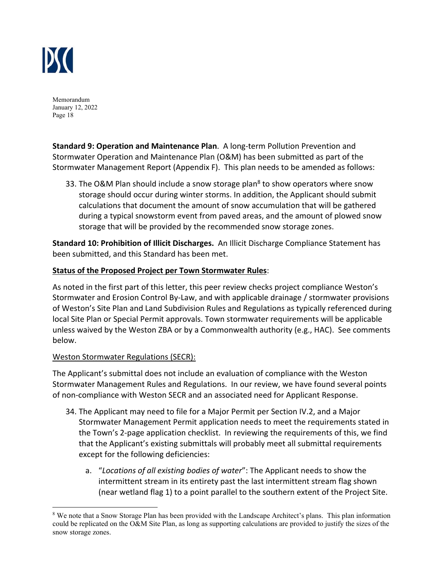

**Standard 9: Operation and Maintenance Plan**. A long‐term Pollution Prevention and Stormwater Operation and Maintenance Plan (O&M) has been submitted as part of the Stormwater Management Report (Appendix F). This plan needs to be amended as follows:

33. The O&M Plan should include a snow storage plan<sup>8</sup> to show operators where snow storage should occur during winter storms. In addition, the Applicant should submit calculations that document the amount of snow accumulation that will be gathered during a typical snowstorm event from paved areas, and the amount of plowed snow storage that will be provided by the recommended snow storage zones.

**Standard 10: Prohibition of Illicit Discharges.** An Illicit Discharge Compliance Statement has been submitted, and this Standard has been met.

# **Status of the Proposed Project per Town Stormwater Rules**:

As noted in the first part of this letter, this peer review checks project compliance Weston's Stormwater and Erosion Control By‐Law, and with applicable drainage / stormwater provisions of Weston's Site Plan and Land Subdivision Rules and Regulations as typically referenced during local Site Plan or Special Permit approvals. Town stormwater requirements will be applicable unless waived by the Weston ZBA or by a Commonwealth authority (e.g., HAC). See comments below.

# Weston Stormwater Regulations (SECR):

The Applicant's submittal does not include an evaluation of compliance with the Weston Stormwater Management Rules and Regulations. In our review, we have found several points of non‐compliance with Weston SECR and an associated need for Applicant Response.

- 34. The Applicant may need to file for a Major Permit per Section IV.2, and a Major Stormwater Management Permit application needs to meet the requirements stated in the Town's 2‐page application checklist. In reviewing the requirements of this, we find that the Applicant's existing submittals will probably meet all submittal requirements except for the following deficiencies:
	- a. "*Locations of all existing bodies of water*": The Applicant needs to show the intermittent stream in its entirety past the last intermittent stream flag shown (near wetland flag 1) to a point parallel to the southern extent of the Project Site.

<sup>&</sup>lt;sup>8</sup> We note that a Snow Storage Plan has been provided with the Landscape Architect's plans. This plan information could be replicated on the O&M Site Plan, as long as supporting calculations are provided to justify the sizes of the snow storage zones.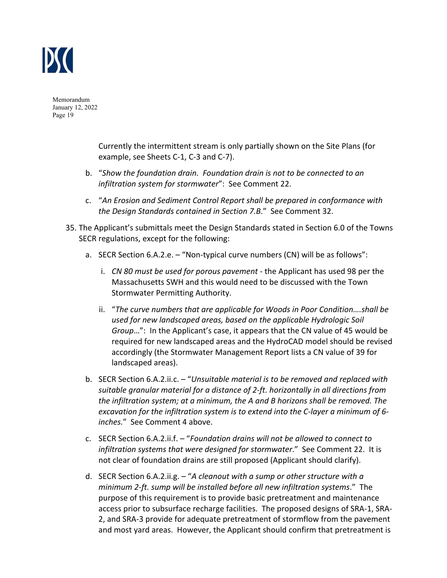

> Currently the intermittent stream is only partially shown on the Site Plans (for example, see Sheets C‐1, C‐3 and C‐7).

- b. "*Show the foundation drain. Foundation drain is not to be connected to an infiltration system for stormwater*": See Comment 22.
- c. "*An Erosion and Sediment Control Report shall be prepared in conformance with the Design Standards contained in Section 7.B*." See Comment 32.
- 35. The Applicant's submittals meet the Design Standards stated in Section 6.0 of the Towns SECR regulations, except for the following:
	- a. SECR Section 6.A.2.e. "Non-typical curve numbers (CN) will be as follows":
		- i. *CN 80 must be used for porous pavement* ‐ the Applicant has used 98 per the Massachusetts SWH and this would need to be discussed with the Town Stormwater Permitting Authority.
		- ii. "*The curve numbers that are applicable for Woods in Poor Condition….shall be used for new landscaped areas, based on the applicable Hydrologic Soil Group*…": In the Applicant's case, it appears that the CN value of 45 would be required for new landscaped areas and the HydroCAD model should be revised accordingly (the Stormwater Management Report lists a CN value of 39 for landscaped areas).
	- b. SECR Section 6.A.2.ii.c. "*Unsuitable material is to be removed and replaced with suitable granular material for a distance of 2‐ft. horizontally in all directions from the infiltration system; at a minimum, the A and B horizons shall be removed. The excavation for the infiltration system is to extend into the C‐layer a minimum of 6‐ inches.*" See Comment 4 above.
	- c. SECR Section 6.A.2.ii.f. "*Foundation drains will not be allowed to connect to infiltration systems that were designed for stormwater*." See Comment 22. It is not clear of foundation drains are still proposed (Applicant should clarify).
	- d. SECR Section 6.A.2.ii.g. "*A cleanout with a sump or other structure with a minimum 2‐ft. sump will be installed before all new infiltration systems*." The purpose of this requirement is to provide basic pretreatment and maintenance access prior to subsurface recharge facilities. The proposed designs of SRA‐1, SRA‐ 2, and SRA‐3 provide for adequate pretreatment of stormflow from the pavement and most yard areas. However, the Applicant should confirm that pretreatment is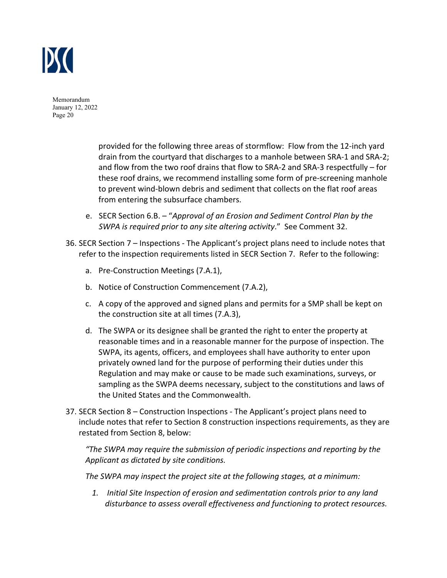

> provided for the following three areas of stormflow: Flow from the 12‐inch yard drain from the courtyard that discharges to a manhole between SRA‐1 and SRA‐2; and flow from the two roof drains that flow to SRA‐2 and SRA‐3 respectfully – for these roof drains, we recommend installing some form of pre‐screening manhole to prevent wind‐blown debris and sediment that collects on the flat roof areas from entering the subsurface chambers.

- e. SECR Section 6.B. "*Approval of an Erosion and Sediment Control Plan by the SWPA is required prior to any site altering activity*." See Comment 32.
- 36. SECR Section 7 Inspections ‐ The Applicant's project plans need to include notes that refer to the inspection requirements listed in SECR Section 7. Refer to the following:
	- a. Pre‐Construction Meetings (7.A.1),
	- b. Notice of Construction Commencement (7.A.2),
	- c. A copy of the approved and signed plans and permits for a SMP shall be kept on the construction site at all times (7.A.3),
	- d. The SWPA or its designee shall be granted the right to enter the property at reasonable times and in a reasonable manner for the purpose of inspection. The SWPA, its agents, officers, and employees shall have authority to enter upon privately owned land for the purpose of performing their duties under this Regulation and may make or cause to be made such examinations, surveys, or sampling as the SWPA deems necessary, subject to the constitutions and laws of the United States and the Commonwealth.
- 37. SECR Section 8 Construction Inspections ‐ The Applicant's project plans need to include notes that refer to Section 8 construction inspections requirements, as they are restated from Section 8, below:

*"The SWPA may require the submission of periodic inspections and reporting by the Applicant as dictated by site conditions.* 

*The SWPA may inspect the project site at the following stages, at a minimum:* 

*1. Initial Site Inspection of erosion and sedimentation controls prior to any land disturbance to assess overall effectiveness and functioning to protect resources.*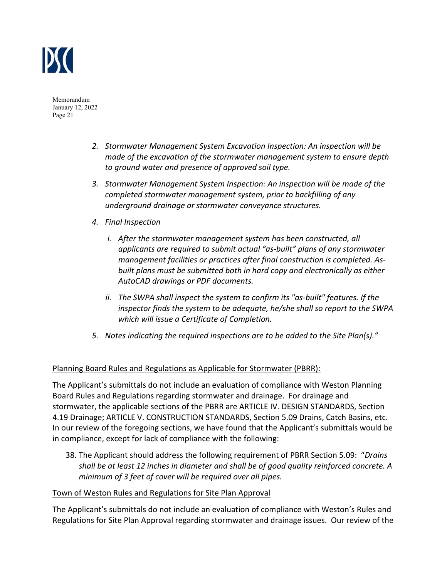

- *2. Stormwater Management System Excavation Inspection: An inspection will be made of the excavation of the stormwater management system to ensure depth to ground water and presence of approved soil type.*
- *3. Stormwater Management System Inspection: An inspection will be made of the completed stormwater management system, prior to backfilling of any underground drainage or stormwater conveyance structures.*
- *4. Final Inspection* 
	- *i. After the stormwater management system has been constructed, all applicants are required to submit actual "as‐built" plans of any stormwater management facilities or practices after final construction is completed. As‐ built plans must be submitted both in hard copy and electronically as either AutoCAD drawings or PDF documents.*
	- *ii. The SWPA shall inspect the system to confirm its "as‐built" features. If the inspector finds the system to be adequate, he/she shall so report to the SWPA which will issue a Certificate of Completion.*
- *5. Notes indicating the required inspections are to be added to the Site Plan(s)."*

# Planning Board Rules and Regulations as Applicable for Stormwater (PBRR):

The Applicant's submittals do not include an evaluation of compliance with Weston Planning Board Rules and Regulations regarding stormwater and drainage. For drainage and stormwater, the applicable sections of the PBRR are ARTICLE IV. DESIGN STANDARDS, Section 4.19 Drainage; ARTICLE V. CONSTRUCTION STANDARDS, Section 5.09 Drains, Catch Basins, etc. In our review of the foregoing sections, we have found that the Applicant's submittals would be in compliance, except for lack of compliance with the following:

38. The Applicant should address the following requirement of PBRR Section 5.09: "*Drains shall be at least 12 inches in diameter and shall be of good quality reinforced concrete. A minimum of 3 feet of cover will be required over all pipes.* 

## Town of Weston Rules and Regulations for Site Plan Approval

The Applicant's submittals do not include an evaluation of compliance with Weston's Rules and Regulations for Site Plan Approval regarding stormwater and drainage issues. Our review of the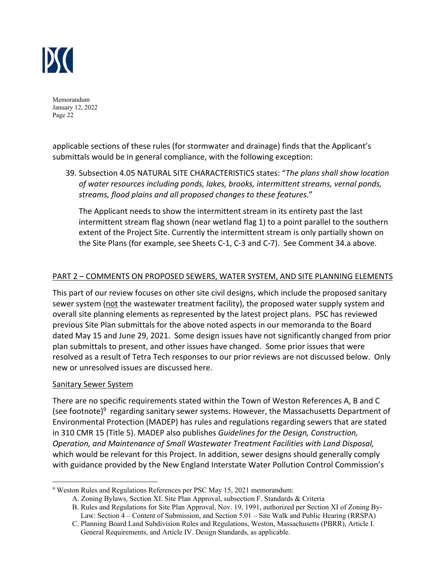

applicable sections of these rules (for stormwater and drainage) finds that the Applicant's submittals would be in general compliance, with the following exception:

39. Subsection 4.05 NATURAL SITE CHARACTERISTICS states: "*The plans shall show location of water resources including ponds, lakes, brooks, intermittent streams, vernal ponds, streams, flood plains and all proposed changes to these features*."

The Applicant needs to show the intermittent stream in its entirety past the last intermittent stream flag shown (near wetland flag 1) to a point parallel to the southern extent of the Project Site. Currently the intermittent stream is only partially shown on the Site Plans (for example, see Sheets C‐1, C‐3 and C‐7). See Comment 34.a above.

# PART 2 – COMMENTS ON PROPOSED SEWERS, WATER SYSTEM, AND SITE PLANNING ELEMENTS

This part of our review focuses on other site civil designs, which include the proposed sanitary sewer system (not the wastewater treatment facility), the proposed water supply system and overall site planning elements as represented by the latest project plans. PSC has reviewed previous Site Plan submittals for the above noted aspects in our memoranda to the Board dated May 15 and June 29, 2021. Some design issues have not significantly changed from prior plan submittals to present, and other issues have changed. Some prior issues that were resolved as a result of Tetra Tech responses to our prior reviews are not discussed below. Only new or unresolved issues are discussed here.

## Sanitary Sewer System

There are no specific requirements stated within the Town of Weston References A, B and C (see footnote) $9$  regarding sanitary sewer systems. However, the Massachusetts Department of Environmental Protection (MADEP) has rules and regulations regarding sewers that are stated in 310 CMR 15 (Title 5). MADEP also publishes *Guidelines for the Design, Construction, Operation, and Maintenance of Small Wastewater Treatment Facilities with Land Disposal,*  which would be relevant for this Project. In addition, sewer designs should generally comply with guidance provided by the New England Interstate Water Pollution Control Commission's

<sup>&</sup>lt;sup>9</sup> Weston Rules and Regulations References per PSC May 15, 2021 memorandum:

A. Zoning Bylaws, Section XI. Site Plan Approval, subsection F. Standards & Criteria

B. Rules and Regulations for Site Plan Approval, Nov. 19, 1991, authorized per Section XI of Zoning By- Law: Section 4 – Content of Submission, and Section 5.01 – Site Walk and Public Hearing (RRSPA)

C. Planning Board Land Subdivision Rules and Regulations, Weston, Massachusetts (PBRR), Article I. General Requirements, and Article IV. Design Standards, as applicable.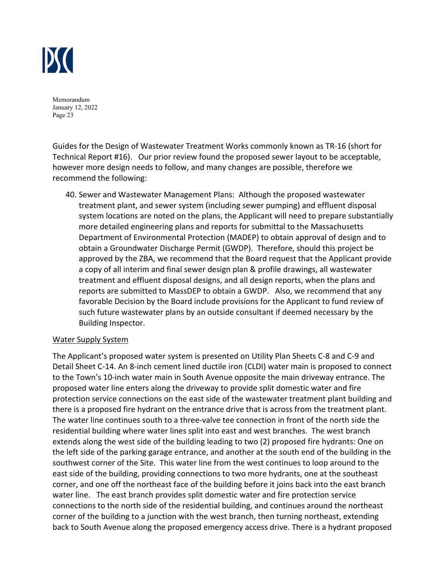

Guides for the Design of Wastewater Treatment Works commonly known as TR‐16 (short for Technical Report #16). Our prior review found the proposed sewer layout to be acceptable, however more design needs to follow, and many changes are possible, therefore we recommend the following:

40. Sewer and Wastewater Management Plans: Although the proposed wastewater treatment plant, and sewer system (including sewer pumping) and effluent disposal system locations are noted on the plans, the Applicant will need to prepare substantially more detailed engineering plans and reports for submittal to the Massachusetts Department of Environmental Protection (MADEP) to obtain approval of design and to obtain a Groundwater Discharge Permit (GWDP). Therefore, should this project be approved by the ZBA, we recommend that the Board request that the Applicant provide a copy of all interim and final sewer design plan & profile drawings, all wastewater treatment and effluent disposal designs, and all design reports, when the plans and reports are submitted to MassDEP to obtain a GWDP. Also, we recommend that any favorable Decision by the Board include provisions for the Applicant to fund review of such future wastewater plans by an outside consultant if deemed necessary by the Building Inspector.

## Water Supply System

The Applicant's proposed water system is presented on Utility Plan Sheets C‐8 and C‐9 and Detail Sheet C‐14. An 8‐inch cement lined ductile iron (CLDI) water main is proposed to connect to the Town's 10‐inch water main in South Avenue opposite the main driveway entrance. The proposed water line enters along the driveway to provide split domestic water and fire protection service connections on the east side of the wastewater treatment plant building and there is a proposed fire hydrant on the entrance drive that is across from the treatment plant. The water line continues south to a three‐valve tee connection in front of the north side the residential building where water lines split into east and west branches. The west branch extends along the west side of the building leading to two (2) proposed fire hydrants: One on the left side of the parking garage entrance, and another at the south end of the building in the southwest corner of the Site. This water line from the west continues to loop around to the east side of the building, providing connections to two more hydrants, one at the southeast corner, and one off the northeast face of the building before it joins back into the east branch water line. The east branch provides split domestic water and fire protection service connections to the north side of the residential building, and continues around the northeast corner of the building to a junction with the west branch, then turning northeast, extending back to South Avenue along the proposed emergency access drive. There is a hydrant proposed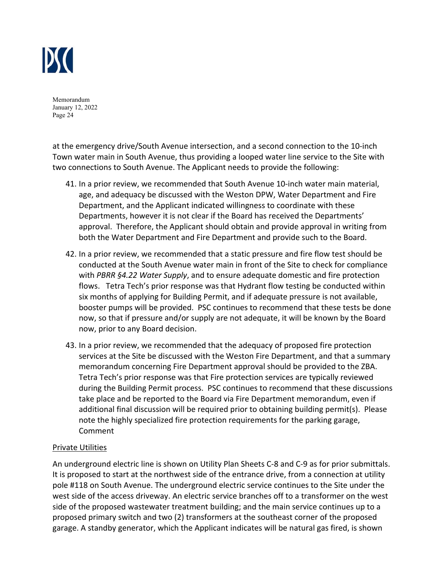

at the emergency drive/South Avenue intersection, and a second connection to the 10‐inch Town water main in South Avenue, thus providing a looped water line service to the Site with two connections to South Avenue. The Applicant needs to provide the following:

- 41. In a prior review, we recommended that South Avenue 10‐inch water main material, age, and adequacy be discussed with the Weston DPW, Water Department and Fire Department, and the Applicant indicated willingness to coordinate with these Departments, however it is not clear if the Board has received the Departments' approval. Therefore, the Applicant should obtain and provide approval in writing from both the Water Department and Fire Department and provide such to the Board.
- 42. In a prior review, we recommended that a static pressure and fire flow test should be conducted at the South Avenue water main in front of the Site to check for compliance with *PBRR §4.22 Water Supply*, and to ensure adequate domestic and fire protection flows. Tetra Tech's prior response was that Hydrant flow testing be conducted within six months of applying for Building Permit, and if adequate pressure is not available, booster pumps will be provided. PSC continues to recommend that these tests be done now, so that if pressure and/or supply are not adequate, it will be known by the Board now, prior to any Board decision.
- 43. In a prior review, we recommended that the adequacy of proposed fire protection services at the Site be discussed with the Weston Fire Department, and that a summary memorandum concerning Fire Department approval should be provided to the ZBA. Tetra Tech's prior response was that Fire protection services are typically reviewed during the Building Permit process. PSC continues to recommend that these discussions take place and be reported to the Board via Fire Department memorandum, even if additional final discussion will be required prior to obtaining building permit(s). Please note the highly specialized fire protection requirements for the parking garage, Comment

## Private Utilities

An underground electric line is shown on Utility Plan Sheets C‐8 and C‐9 as for prior submittals. It is proposed to start at the northwest side of the entrance drive, from a connection at utility pole #118 on South Avenue. The underground electric service continues to the Site under the west side of the access driveway. An electric service branches off to a transformer on the west side of the proposed wastewater treatment building; and the main service continues up to a proposed primary switch and two (2) transformers at the southeast corner of the proposed garage. A standby generator, which the Applicant indicates will be natural gas fired, is shown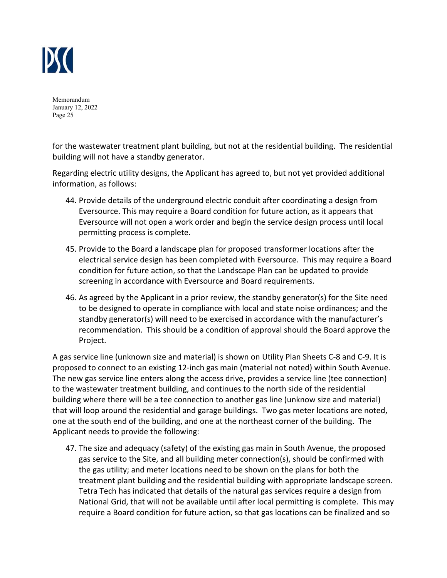

for the wastewater treatment plant building, but not at the residential building. The residential building will not have a standby generator.

Regarding electric utility designs, the Applicant has agreed to, but not yet provided additional information, as follows:

- 44. Provide details of the underground electric conduit after coordinating a design from Eversource. This may require a Board condition for future action, as it appears that Eversource will not open a work order and begin the service design process until local permitting process is complete.
- 45. Provide to the Board a landscape plan for proposed transformer locations after the electrical service design has been completed with Eversource. This may require a Board condition for future action, so that the Landscape Plan can be updated to provide screening in accordance with Eversource and Board requirements.
- 46. As agreed by the Applicant in a prior review, the standby generator(s) for the Site need to be designed to operate in compliance with local and state noise ordinances; and the standby generator(s) will need to be exercised in accordance with the manufacturer's recommendation. This should be a condition of approval should the Board approve the Project.

A gas service line (unknown size and material) is shown on Utility Plan Sheets C‐8 and C‐9. It is proposed to connect to an existing 12‐inch gas main (material not noted) within South Avenue. The new gas service line enters along the access drive, provides a service line (tee connection) to the wastewater treatment building, and continues to the north side of the residential building where there will be a tee connection to another gas line (unknow size and material) that will loop around the residential and garage buildings. Two gas meter locations are noted, one at the south end of the building, and one at the northeast corner of the building. The Applicant needs to provide the following:

47. The size and adequacy (safety) of the existing gas main in South Avenue, the proposed gas service to the Site, and all building meter connection(s), should be confirmed with the gas utility; and meter locations need to be shown on the plans for both the treatment plant building and the residential building with appropriate landscape screen. Tetra Tech has indicated that details of the natural gas services require a design from National Grid, that will not be available until after local permitting is complete. This may require a Board condition for future action, so that gas locations can be finalized and so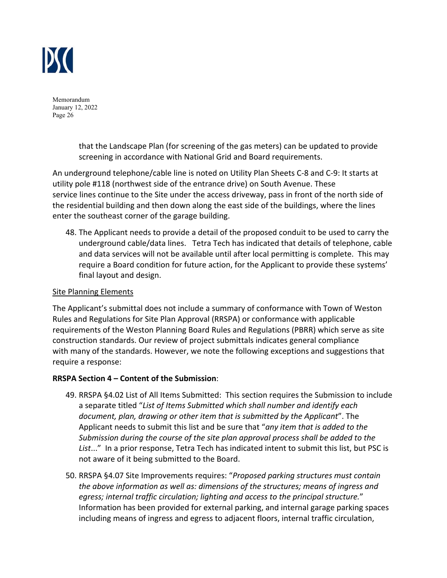

> that the Landscape Plan (for screening of the gas meters) can be updated to provide screening in accordance with National Grid and Board requirements.

An underground telephone/cable line is noted on Utility Plan Sheets C‐8 and C‐9: It starts at utility pole #118 (northwest side of the entrance drive) on South Avenue. These service lines continue to the Site under the access driveway, pass in front of the north side of the residential building and then down along the east side of the buildings, where the lines enter the southeast corner of the garage building.

48. The Applicant needs to provide a detail of the proposed conduit to be used to carry the underground cable/data lines. Tetra Tech has indicated that details of telephone, cable and data services will not be available until after local permitting is complete. This may require a Board condition for future action, for the Applicant to provide these systems' final layout and design.

## Site Planning Elements

The Applicant's submittal does not include a summary of conformance with Town of Weston Rules and Regulations for Site Plan Approval (RRSPA) or conformance with applicable requirements of the Weston Planning Board Rules and Regulations (PBRR) which serve as site construction standards. Our review of project submittals indicates general compliance with many of the standards. However, we note the following exceptions and suggestions that require a response:

## **RRSPA Section 4 – Content of the Submission**:

- 49. RRSPA §4.02 List of All Items Submitted: This section requires the Submission to include a separate titled "*List of Items Submitted which shall number and identify each document, plan, drawing or other item that is submitted by the Applicant*". The Applicant needs to submit this list and be sure that "*any item that is added to the Submission during the course of the site plan approval process shall be added to the List*..." In a prior response, Tetra Tech has indicated intent to submit this list, but PSC is not aware of it being submitted to the Board.
- 50. RRSPA §4.07 Site Improvements requires: "*Proposed parking structures must contain the above information as well as: dimensions of the structures; means of ingress and egress; internal traffic circulation; lighting and access to the principal structure.*" Information has been provided for external parking, and internal garage parking spaces including means of ingress and egress to adjacent floors, internal traffic circulation,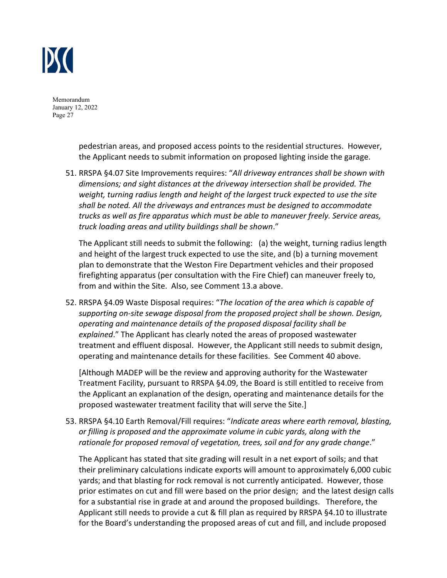

> pedestrian areas, and proposed access points to the residential structures. However, the Applicant needs to submit information on proposed lighting inside the garage.

51. RRSPA §4.07 Site Improvements requires: "*All driveway entrances shall be shown with dimensions; and sight distances at the driveway intersection shall be provided. The weight, turning radius length and height of the largest truck expected to use the site shall be noted. All the driveways and entrances must be designed to accommodate trucks as well as fire apparatus which must be able to maneuver freely. Service areas, truck loading areas and utility buildings shall be shown*."

The Applicant still needs to submit the following: (a) the weight, turning radius length and height of the largest truck expected to use the site, and (b) a turning movement plan to demonstrate that the Weston Fire Department vehicles and their proposed firefighting apparatus (per consultation with the Fire Chief) can maneuver freely to, from and within the Site. Also, see Comment 13.a above.

52. RRSPA §4.09 Waste Disposal requires: "*The location of the area which is capable of supporting on‐site sewage disposal from the proposed project shall be shown. Design, operating and maintenance details of the proposed disposal facility shall be explained*." The Applicant has clearly noted the areas of proposed wastewater treatment and effluent disposal. However, the Applicant still needs to submit design, operating and maintenance details for these facilities. See Comment 40 above.

[Although MADEP will be the review and approving authority for the Wastewater Treatment Facility, pursuant to RRSPA §4.09, the Board is still entitled to receive from the Applicant an explanation of the design, operating and maintenance details for the proposed wastewater treatment facility that will serve the Site.]

53. RRSPA §4.10 Earth Removal/Fill requires: "*Indicate areas where earth removal, blasting, or filling is proposed and the approximate volume in cubic yards, along with the rationale for proposed removal of vegetation, trees, soil and for any grade change*."

The Applicant has stated that site grading will result in a net export of soils; and that their preliminary calculations indicate exports will amount to approximately 6,000 cubic yards; and that blasting for rock removal is not currently anticipated. However, those prior estimates on cut and fill were based on the prior design; and the latest design calls for a substantial rise in grade at and around the proposed buildings. Therefore, the Applicant still needs to provide a cut & fill plan as required by RRSPA §4.10 to illustrate for the Board's understanding the proposed areas of cut and fill, and include proposed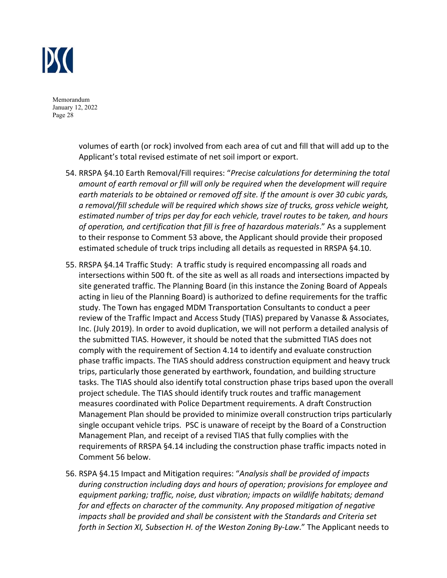

> volumes of earth (or rock) involved from each area of cut and fill that will add up to the Applicant's total revised estimate of net soil import or export.

- 54. RRSPA §4.10 Earth Removal/Fill requires: "*Precise calculations for determining the total amount of earth removal or fill will only be required when the development will require earth materials to be obtained or removed off site. If the amount is over 30 cubic yards, a removal/fill schedule will be required which shows size of trucks, gross vehicle weight, estimated number of trips per day for each vehicle, travel routes to be taken, and hours of operation, and certification that fill is free of hazardous materials*." As a supplement to their response to Comment 53 above, the Applicant should provide their proposed estimated schedule of truck trips including all details as requested in RRSPA §4.10.
- 55. RRSPA §4.14 Traffic Study: A traffic study is required encompassing all roads and intersections within 500 ft. of the site as well as all roads and intersections impacted by site generated traffic. The Planning Board (in this instance the Zoning Board of Appeals acting in lieu of the Planning Board) is authorized to define requirements for the traffic study. The Town has engaged MDM Transportation Consultants to conduct a peer review of the Traffic Impact and Access Study (TIAS) prepared by Vanasse & Associates, Inc. (July 2019). In order to avoid duplication, we will not perform a detailed analysis of the submitted TIAS. However, it should be noted that the submitted TIAS does not comply with the requirement of Section 4.14 to identify and evaluate construction phase traffic impacts. The TIAS should address construction equipment and heavy truck trips, particularly those generated by earthwork, foundation, and building structure tasks. The TIAS should also identify total construction phase trips based upon the overall project schedule. The TIAS should identify truck routes and traffic management measures coordinated with Police Department requirements. A draft Construction Management Plan should be provided to minimize overall construction trips particularly single occupant vehicle trips. PSC is unaware of receipt by the Board of a Construction Management Plan, and receipt of a revised TIAS that fully complies with the requirements of RRSPA §4.14 including the construction phase traffic impacts noted in Comment 56 below.
- 56. RSPA §4.15 Impact and Mitigation requires: "*Analysis shall be provided of impacts during construction including days and hours of operation; provisions for employee and equipment parking; traffic, noise, dust vibration; impacts on wildlife habitats; demand for and effects on character of the community. Any proposed mitigation of negative impacts shall be provided and shall be consistent with the Standards and Criteria set forth in Section XI, Subsection H. of the Weston Zoning By‐Law*." The Applicant needs to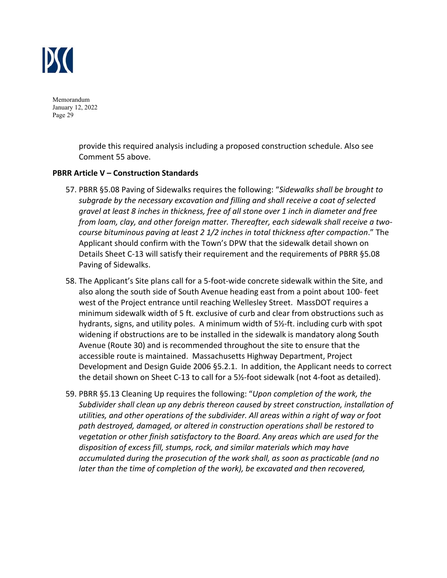

> provide this required analysis including a proposed construction schedule. Also see Comment 55 above.

#### **PBRR Article V – Construction Standards**

- 57. PBRR §5.08 Paving of Sidewalks requires the following: "*Sidewalks shall be brought to subgrade by the necessary excavation and filling and shall receive a coat of selected gravel at least 8 inches in thickness, free of all stone over 1 inch in diameter and free from loam, clay, and other foreign matter. Thereafter, each sidewalk shall receive a two‐ course bituminous paving at least 2 1/2 inches in total thickness after compaction*." The Applicant should confirm with the Town's DPW that the sidewalk detail shown on Details Sheet C‐13 will satisfy their requirement and the requirements of PBRR §5.08 Paving of Sidewalks.
- 58. The Applicant's Site plans call for a 5‐foot‐wide concrete sidewalk within the Site, and also along the south side of South Avenue heading east from a point about 100‐ feet west of the Project entrance until reaching Wellesley Street. MassDOT requires a minimum sidewalk width of 5 ft. exclusive of curb and clear from obstructions such as hydrants, signs, and utility poles. A minimum width of 5½‐ft. including curb with spot widening if obstructions are to be installed in the sidewalk is mandatory along South Avenue (Route 30) and is recommended throughout the site to ensure that the accessible route is maintained. Massachusetts Highway Department, Project Development and Design Guide 2006 §5.2.1. In addition, the Applicant needs to correct the detail shown on Sheet C‐13 to call for a 5½‐foot sidewalk (not 4‐foot as detailed).
- 59. PBRR §5.13 Cleaning Up requires the following: "*Upon completion of the work, the Subdivider shall clean up any debris thereon caused by street construction, installation of utilities, and other operations of the subdivider. All areas within a right of way or foot path destroyed, damaged, or altered in construction operations shall be restored to vegetation or other finish satisfactory to the Board. Any areas which are used for the disposition of excess fill, stumps, rock, and similar materials which may have accumulated during the prosecution of the work shall, as soon as practicable (and no later than the time of completion of the work), be excavated and then recovered,*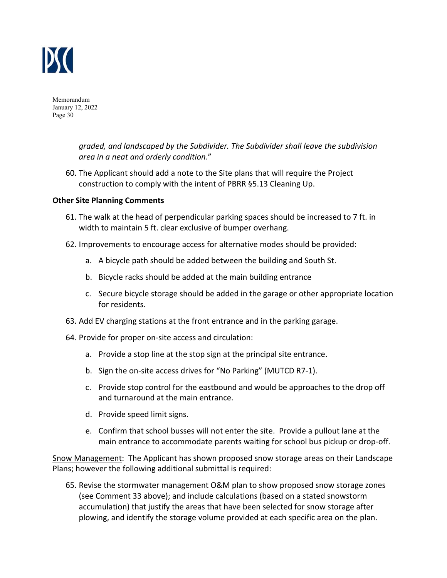

> *graded, and landscaped by the Subdivider. The Subdivider shall leave the subdivision area in a neat and orderly condition*."

60. The Applicant should add a note to the Site plans that will require the Project construction to comply with the intent of PBRR §5.13 Cleaning Up.

#### **Other Site Planning Comments**

- 61. The walk at the head of perpendicular parking spaces should be increased to 7 ft. in width to maintain 5 ft. clear exclusive of bumper overhang.
- 62. Improvements to encourage access for alternative modes should be provided:
	- a. A bicycle path should be added between the building and South St.
	- b. Bicycle racks should be added at the main building entrance
	- c. Secure bicycle storage should be added in the garage or other appropriate location for residents.
- 63. Add EV charging stations at the front entrance and in the parking garage.
- 64. Provide for proper on‐site access and circulation:
	- a. Provide a stop line at the stop sign at the principal site entrance.
	- b. Sign the on‐site access drives for "No Parking" (MUTCD R7‐1).
	- c. Provide stop control for the eastbound and would be approaches to the drop off and turnaround at the main entrance.
	- d. Provide speed limit signs.
	- e. Confirm that school busses will not enter the site. Provide a pullout lane at the main entrance to accommodate parents waiting for school bus pickup or drop‐off.

Snow Management: The Applicant has shown proposed snow storage areas on their Landscape Plans; however the following additional submittal is required:

65. Revise the stormwater management O&M plan to show proposed snow storage zones (see Comment 33 above); and include calculations (based on a stated snowstorm accumulation) that justify the areas that have been selected for snow storage after plowing, and identify the storage volume provided at each specific area on the plan.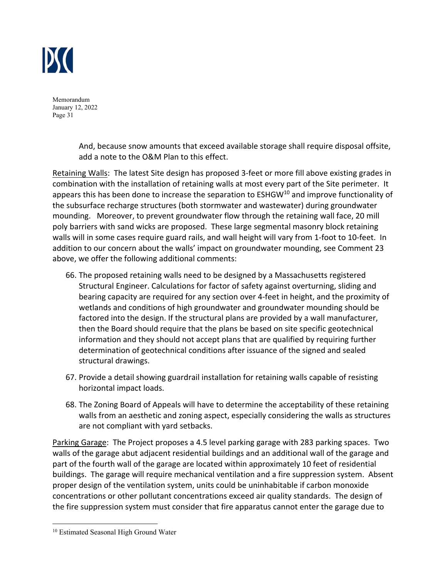

> And, because snow amounts that exceed available storage shall require disposal offsite, add a note to the O&M Plan to this effect.

Retaining Walls: The latest Site design has proposed 3‐feet or more fill above existing grades in combination with the installation of retaining walls at most every part of the Site perimeter. It appears this has been done to increase the separation to ESHGW<sup>10</sup> and improve functionality of the subsurface recharge structures (both stormwater and wastewater) during groundwater mounding. Moreover, to prevent groundwater flow through the retaining wall face, 20 mill poly barriers with sand wicks are proposed. These large segmental masonry block retaining walls will in some cases require guard rails, and wall height will vary from 1-foot to 10-feet. In addition to our concern about the walls' impact on groundwater mounding, see Comment 23 above, we offer the following additional comments:

- 66. The proposed retaining walls need to be designed by a Massachusetts registered Structural Engineer. Calculations for factor of safety against overturning, sliding and bearing capacity are required for any section over 4‐feet in height, and the proximity of wetlands and conditions of high groundwater and groundwater mounding should be factored into the design. If the structural plans are provided by a wall manufacturer, then the Board should require that the plans be based on site specific geotechnical information and they should not accept plans that are qualified by requiring further determination of geotechnical conditions after issuance of the signed and sealed structural drawings.
- 67. Provide a detail showing guardrail installation for retaining walls capable of resisting horizontal impact loads.
- 68. The Zoning Board of Appeals will have to determine the acceptability of these retaining walls from an aesthetic and zoning aspect, especially considering the walls as structures are not compliant with yard setbacks.

Parking Garage: The Project proposes a 4.5 level parking garage with 283 parking spaces. Two walls of the garage abut adjacent residential buildings and an additional wall of the garage and part of the fourth wall of the garage are located within approximately 10 feet of residential buildings. The garage will require mechanical ventilation and a fire suppression system. Absent proper design of the ventilation system, units could be uninhabitable if carbon monoxide concentrations or other pollutant concentrations exceed air quality standards. The design of the fire suppression system must consider that fire apparatus cannot enter the garage due to

<sup>10</sup> Estimated Seasonal High Ground Water